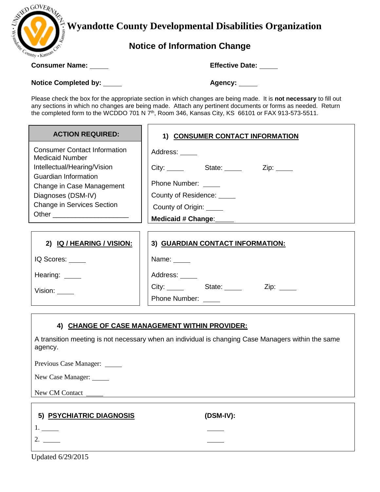

 **Wyandotte County Developmental Disabilities Organization**

# **Notice of Information Change**

**Consumer Name: Effective Date:**

**Notice Completed by: Agency:**

Please check the box for the appropriate section in which changes are being made. It is **not necessary** to fill out any sections in which no changes are being made. Attach any pertinent documents or forms as needed. Return the completed form to the WCDDO 701 N 7<sup>th</sup>, Room 346, Kansas City, KS 66101 or FAX 913-573-5511.

| <b>ACTION REQUIRED:</b>                                       | 1) CONSUMER CONTACT INFORMATION                                                                                       |
|---------------------------------------------------------------|-----------------------------------------------------------------------------------------------------------------------|
| <b>Consumer Contact Information</b><br><b>Medicaid Number</b> | Address: _____                                                                                                        |
| Intellectual/Hearing/Vision                                   | City: ______ State: _____ Zip: ____                                                                                   |
| <b>Guardian Information</b><br>Change in Case Management      | Phone Number: _____                                                                                                   |
| Diagnoses (DSM-IV)                                            | County of Residence: _____                                                                                            |
| <b>Change in Services Section</b>                             | County of Origin: _____                                                                                               |
| Other _________________________                               | Medicaid # Change: Medicaid # Change:                                                                                 |
|                                                               |                                                                                                                       |
| 2) IQ / HEARING / VISION:                                     | 3) GUARDIAN CONTACT INFORMATION:                                                                                      |
| IQ Scores:                                                    | Name: $\frac{1}{\sqrt{1-\frac{1}{2}}\sqrt{1-\frac{1}{2}}\sqrt{1-\frac{1}{2}}\sqrt{1-\frac{1}{2}}\sqrt{1-\frac{1}{2}}$ |
| Hearing: $\_\_$                                               | Address: _____                                                                                                        |
| Vision: $\_\_\_\_\_\_\$                                       | City: State: City:<br>$Zip: \_\_$                                                                                     |
|                                                               | Phone Number: _____                                                                                                   |

## **4) CHANGE OF CASE MANAGEMENT WITHIN PROVIDER:**

A transition meeting is not necessary when an individual is changing Case Managers within the same agency.

Previous Case Manager: \_\_\_\_\_\_

New Case Manager:

New CM Contact \_

| 5) PSYCHIATRIC DIAGNOSIS | $(DSM-IV):$ |  |
|--------------------------|-------------|--|
|                          |             |  |
|                          |             |  |
|                          |             |  |

Updated 6/29/2015